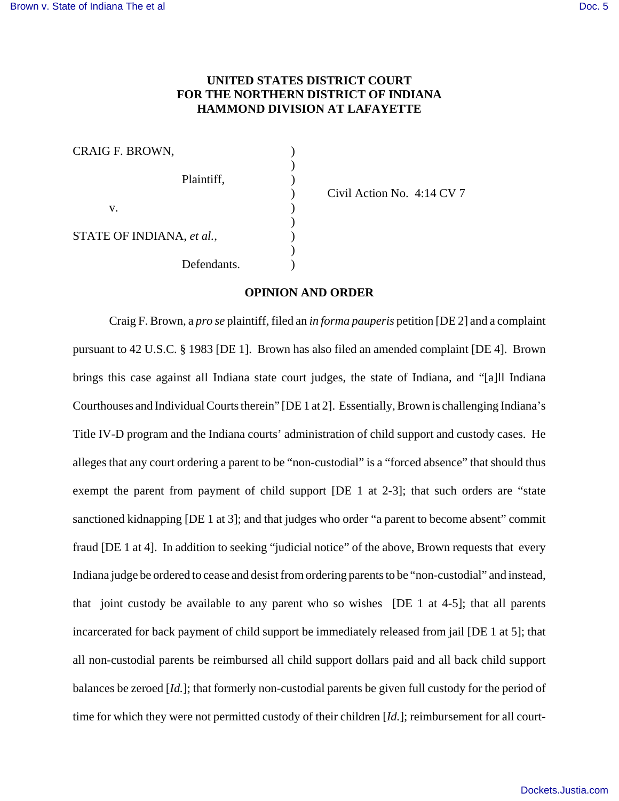## **UNITED STATES DISTRICT COURT FOR THE NORTHERN DISTRICT OF INDIANA HAMMOND DIVISION AT LAFAYETTE**

| CRAIG F. BROWN,           |  |
|---------------------------|--|
| Plaintiff,                |  |
| V.                        |  |
| STATE OF INDIANA, et al., |  |
| Defendants.               |  |

) Civil Action No. 4:14 CV 7

## **OPINION AND ORDER**

Craig F. Brown, a *pro se* plaintiff, filed an *in forma pauperis* petition [DE 2] and a complaint pursuant to 42 U.S.C. § 1983 [DE 1]. Brown has also filed an amended complaint [DE 4]. Brown brings this case against all Indiana state court judges, the state of Indiana, and "[a]ll Indiana Courthouses and Individual Courts therein" [DE 1 at 2]. Essentially, Brown is challenging Indiana's Title IV-D program and the Indiana courts' administration of child support and custody cases. He alleges that any court ordering a parent to be "non-custodial" is a "forced absence" that should thus exempt the parent from payment of child support [DE 1 at 2-3]; that such orders are "state sanctioned kidnapping [DE 1 at 3]; and that judges who order "a parent to become absent" commit fraud [DE 1 at 4]. In addition to seeking "judicial notice" of the above, Brown requests that every Indiana judge be ordered to cease and desist from ordering parents to be "non-custodial" and instead, that joint custody be available to any parent who so wishes [DE 1 at 4-5]; that all parents incarcerated for back payment of child support be immediately released from jail [DE 1 at 5]; that all non-custodial parents be reimbursed all child support dollars paid and all back child support balances be zeroed [*Id.*]; that formerly non-custodial parents be given full custody for the period of time for which they were not permitted custody of their children [*Id.*]; reimbursement for all court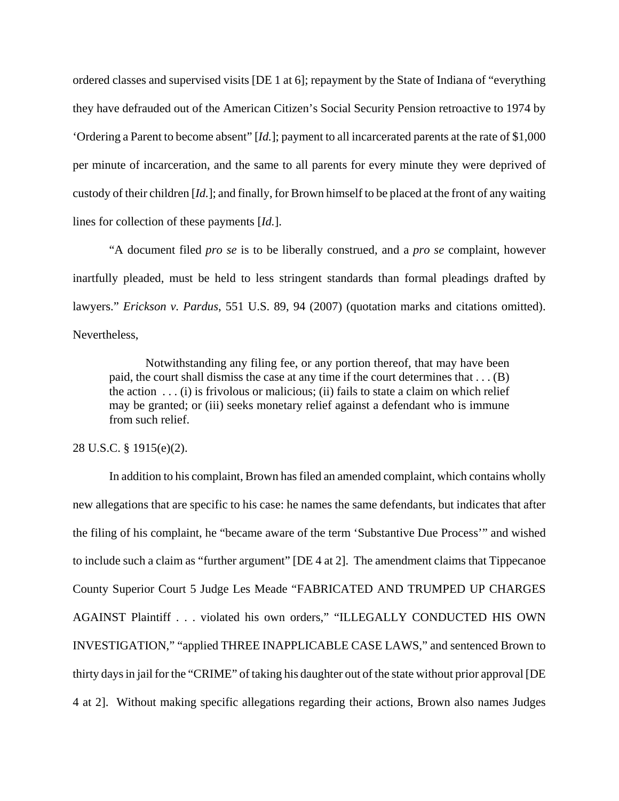ordered classes and supervised visits [DE 1 at 6]; repayment by the State of Indiana of "everything they have defrauded out of the American Citizen's Social Security Pension retroactive to 1974 by 'Ordering a Parent to become absent" [*Id.*]; payment to all incarcerated parents at the rate of \$1,000 per minute of incarceration, and the same to all parents for every minute they were deprived of custody of their children [*Id.*]; and finally, for Brown himself to be placed at the front of any waiting lines for collection of these payments [*Id.*].

"A document filed *pro se* is to be liberally construed, and a *pro se* complaint, however inartfully pleaded, must be held to less stringent standards than formal pleadings drafted by lawyers." *Erickson v. Pardus*, 551 U.S. 89, 94 (2007) (quotation marks and citations omitted). Nevertheless,

Notwithstanding any filing fee, or any portion thereof, that may have been paid, the court shall dismiss the case at any time if the court determines that . . . (B) the action  $\dots$  (i) is frivolous or malicious; (ii) fails to state a claim on which relief may be granted; or (iii) seeks monetary relief against a defendant who is immune from such relief.

## 28 U.S.C. § 1915(e)(2).

In addition to his complaint, Brown has filed an amended complaint, which contains wholly new allegations that are specific to his case: he names the same defendants, but indicates that after the filing of his complaint, he "became aware of the term 'Substantive Due Process'" and wished to include such a claim as "further argument" [DE 4 at 2]. The amendment claims that Tippecanoe County Superior Court 5 Judge Les Meade "FABRICATED AND TRUMPED UP CHARGES AGAINST Plaintiff . . . violated his own orders," "ILLEGALLY CONDUCTED HIS OWN INVESTIGATION," "applied THREE INAPPLICABLE CASE LAWS," and sentenced Brown to thirty days in jail for the "CRIME" of taking his daughter out of the state without prior approval [DE 4 at 2]. Without making specific allegations regarding their actions, Brown also names Judges